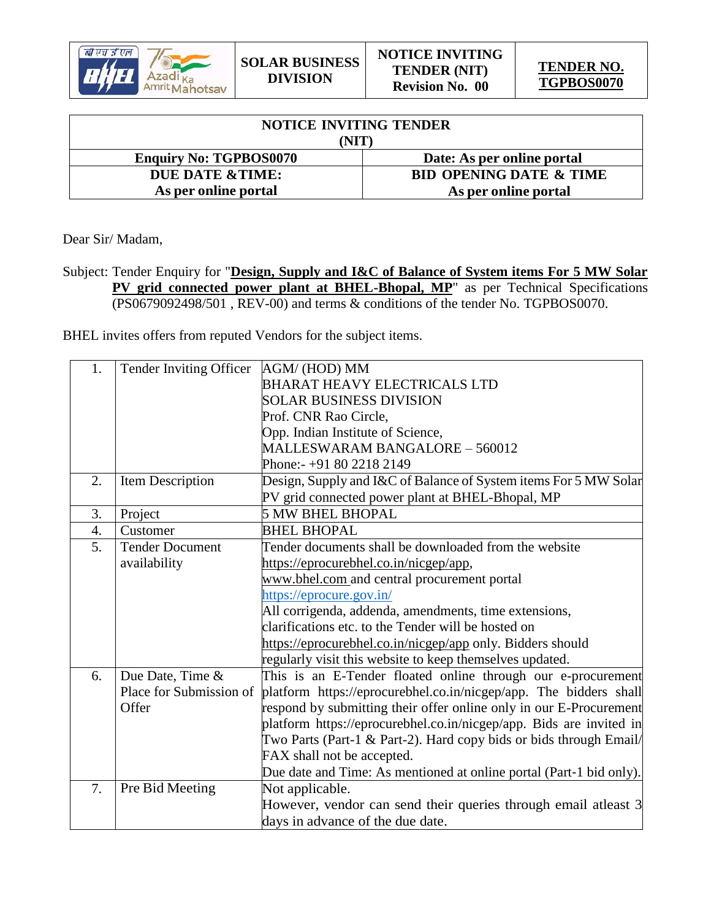

| <b>NOTICE INVITING TENDER</b> |                                    |  |
|-------------------------------|------------------------------------|--|
| NIT                           |                                    |  |
| <b>Enquiry No: TGPBOS0070</b> | Date: As per online portal         |  |
| DUE DATE & TIME:              | <b>BID OPENING DATE &amp; TIME</b> |  |
| As per online portal          | As per online portal               |  |

Dear Sir/ Madam,

Subject: Tender Enquiry for "**Design, Supply and I&C of Balance of System items For 5 MW Solar PV grid connected power plant at BHEL-Bhopal, MP**" as per Technical Specifications (PS0679092498/501 , REV-00) and terms & conditions of the tender No. TGPBOS0070.

BHEL invites offers from reputed Vendors for the subject items.

| 1. | Tender Inviting Officer | AGM/(HOD) MM                                                        |
|----|-------------------------|---------------------------------------------------------------------|
|    |                         | BHARAT HEAVY ELECTRICALS LTD                                        |
|    |                         | <b>SOLAR BUSINESS DIVISION</b>                                      |
|    |                         | Prof. CNR Rao Circle,                                               |
|    |                         | Opp. Indian Institute of Science,                                   |
|    |                         | MALLESWARAM BANGALORE - 560012                                      |
|    |                         | Phone:- +91 80 2218 2149                                            |
| 2. | Item Description        | Design, Supply and I&C of Balance of System items For 5 MW Solar    |
|    |                         | PV grid connected power plant at BHEL-Bhopal, MP                    |
| 3. | Project                 | <b>5 MW BHEL BHOPAL</b>                                             |
| 4. | Customer                | <b>BHEL BHOPAL</b>                                                  |
| 5. | <b>Tender Document</b>  | Tender documents shall be downloaded from the website               |
|    | availability            | https://eprocurebhel.co.in/nicgep/app,                              |
|    |                         | www.bhel.com and central procurement portal                         |
|    |                         | https://eprocure.gov.in/                                            |
|    |                         | All corrigenda, addenda, amendments, time extensions,               |
|    |                         | clarifications etc. to the Tender will be hosted on                 |
|    |                         | https://eprocurebhel.co.in/nicgep/app only. Bidders should          |
|    |                         | regularly visit this website to keep themselves updated.            |
| 6. | Due Date, Time &        | This is an E-Tender floated online through our e-procurement        |
|    | Place for Submission of | platform https://eprocurebhel.co.in/nicgep/app. The bidders shall   |
|    | Offer                   | respond by submitting their offer online only in our E-Procurement  |
|    |                         | platform https://eprocurebhel.co.in/nicgep/app. Bids are invited in |
|    |                         | Two Parts (Part-1 & Part-2). Hard copy bids or bids through Email/  |
|    |                         | FAX shall not be accepted.                                          |
|    |                         | Due date and Time: As mentioned at online portal (Part-1 bid only). |
| 7. | Pre Bid Meeting         | Not applicable.                                                     |
|    |                         | However, vendor can send their queries through email at least 3     |
|    |                         | days in advance of the due date.                                    |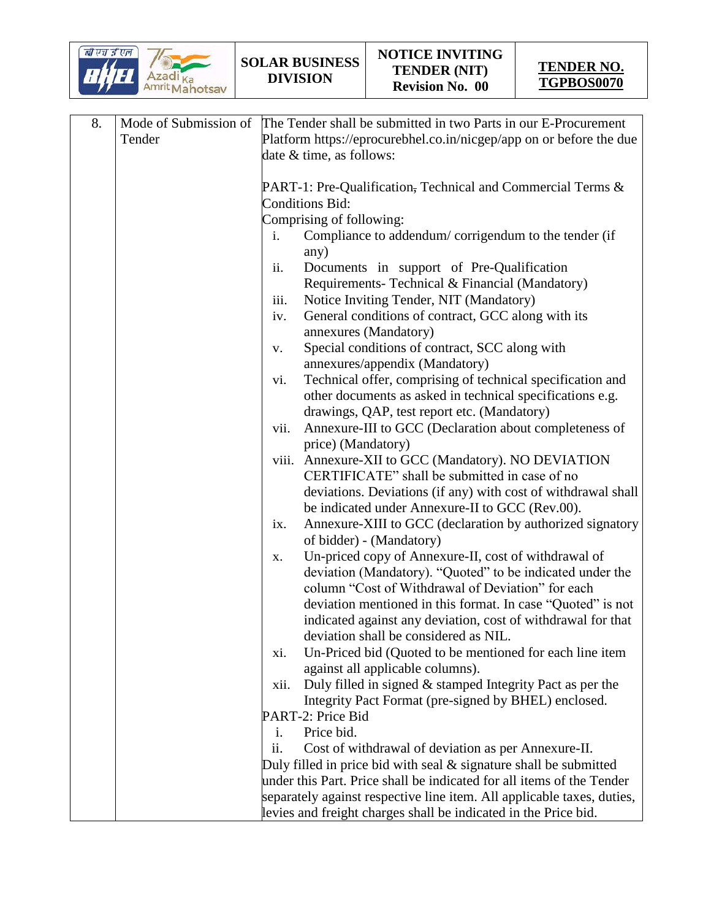

| 8. | Mode of Submission of | The Tender shall be submitted in two Parts in our E-Procurement                                                           |
|----|-----------------------|---------------------------------------------------------------------------------------------------------------------------|
|    | Tender                | Platform https://eprocurebhel.co.in/nicgep/app on or before the due                                                       |
|    |                       | date & time, as follows:                                                                                                  |
|    |                       |                                                                                                                           |
|    |                       | PART-1: Pre-Qualification, Technical and Commercial Terms &                                                               |
|    |                       | <b>Conditions Bid:</b>                                                                                                    |
|    |                       | Comprising of following:                                                                                                  |
|    |                       | Compliance to addendum/corrigendum to the tender (if<br>i.                                                                |
|    |                       | any)                                                                                                                      |
|    |                       | Documents in support of Pre-Qualification<br>ii.                                                                          |
|    |                       | Requirements- Technical & Financial (Mandatory)                                                                           |
|    |                       | Notice Inviting Tender, NIT (Mandatory)<br>iii.                                                                           |
|    |                       | General conditions of contract, GCC along with its<br>iv.                                                                 |
|    |                       | annexures (Mandatory)                                                                                                     |
|    |                       | Special conditions of contract, SCC along with<br>V.                                                                      |
|    |                       | annexures/appendix (Mandatory)                                                                                            |
|    |                       | Technical offer, comprising of technical specification and<br>vi.                                                         |
|    |                       | other documents as asked in technical specifications e.g.                                                                 |
|    |                       | drawings, QAP, test report etc. (Mandatory)                                                                               |
|    |                       | Annexure-III to GCC (Declaration about completeness of<br>vii.                                                            |
|    |                       | price) (Mandatory)                                                                                                        |
|    |                       | viii. Annexure-XII to GCC (Mandatory). NO DEVIATION                                                                       |
|    |                       | CERTIFICATE" shall be submitted in case of no                                                                             |
|    |                       | deviations. Deviations (if any) with cost of withdrawal shall                                                             |
|    |                       | be indicated under Annexure-II to GCC (Rev.00).                                                                           |
|    |                       | Annexure-XIII to GCC (declaration by authorized signatory<br>ix.                                                          |
|    |                       | of bidder) - (Mandatory)                                                                                                  |
|    |                       | Un-priced copy of Annexure-II, cost of withdrawal of<br>X.                                                                |
|    |                       | deviation (Mandatory). "Quoted" to be indicated under the                                                                 |
|    |                       | column "Cost of Withdrawal of Deviation" for each                                                                         |
|    |                       | deviation mentioned in this format. In case "Quoted" is not                                                               |
|    |                       | indicated against any deviation, cost of withdrawal for that                                                              |
|    |                       | deviation shall be considered as NIL.                                                                                     |
|    |                       | Un-Priced bid (Quoted to be mentioned for each line item<br>xi.                                                           |
|    |                       | against all applicable columns).                                                                                          |
|    |                       | Duly filled in signed & stamped Integrity Pact as per the<br>xii.<br>Integrity Pact Format (pre-signed by BHEL) enclosed. |
|    |                       | PART-2: Price Bid                                                                                                         |
|    |                       | Price bid.<br>i.                                                                                                          |
|    |                       | Cost of withdrawal of deviation as per Annexure-II.<br>ii.                                                                |
|    |                       | Duly filled in price bid with seal $\&$ signature shall be submitted                                                      |
|    |                       | under this Part. Price shall be indicated for all items of the Tender                                                     |
|    |                       | separately against respective line item. All applicable taxes, duties,                                                    |
|    |                       | levies and freight charges shall be indicated in the Price bid.                                                           |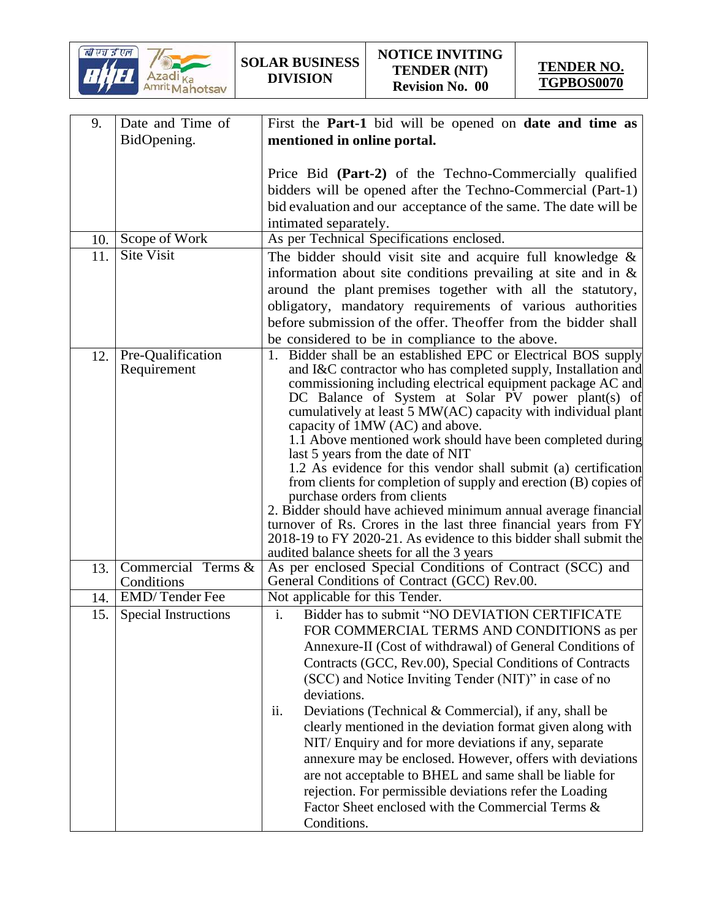

| 9.  | Date and Time of            | First the <b>Part-1</b> bid will be opened on <b>date and time as</b>                                            |
|-----|-----------------------------|------------------------------------------------------------------------------------------------------------------|
|     | BidOpening.                 | mentioned in online portal.                                                                                      |
|     |                             |                                                                                                                  |
|     |                             | Price Bid (Part-2) of the Techno-Commercially qualified                                                          |
|     |                             | bidders will be opened after the Techno-Commercial (Part-1)                                                      |
|     |                             | bid evaluation and our acceptance of the same. The date will be                                                  |
|     |                             | intimated separately.                                                                                            |
| 10. | Scope of Work               | As per Technical Specifications enclosed.                                                                        |
| 11. | <b>Site Visit</b>           | The bidder should visit site and acquire full knowledge $\&$                                                     |
|     |                             | information about site conditions prevailing at site and in $\&$                                                 |
|     |                             | around the plant premises together with all the statutory,                                                       |
|     |                             | obligatory, mandatory requirements of various authorities                                                        |
|     |                             | before submission of the offer. Theoffer from the bidder shall                                                   |
|     |                             | be considered to be in compliance to the above.                                                                  |
| 12. | Pre-Qualification           | 1. Bidder shall be an established EPC or Electrical BOS supply                                                   |
|     | Requirement                 | and I&C contractor who has completed supply, Installation and                                                    |
|     |                             | commissioning including electrical equipment package AC and                                                      |
|     |                             | DC Balance of System at Solar PV power plant(s) of                                                               |
|     |                             | cumulatively at least 5 MW(AC) capacity with individual plant                                                    |
|     |                             | capacity of 1MW (AC) and above.<br>1.1 Above mentioned work should have been completed during                    |
|     |                             | last 5 years from the date of NIT                                                                                |
|     |                             | 1.2 As evidence for this vendor shall submit (a) certification                                                   |
|     |                             | from clients for completion of supply and erection (B) copies of                                                 |
|     |                             | purchase orders from clients                                                                                     |
|     |                             | 2. Bidder should have achieved minimum annual average financial                                                  |
|     |                             | turnover of Rs. Crores in the last three financial years from FY                                                 |
|     |                             | 2018-19 to FY 2020-21. As evidence to this bidder shall submit the<br>audited balance sheets for all the 3 years |
| 13. | Commercial Terms &          | As per enclosed Special Conditions of Contract (SCC) and                                                         |
|     | Conditions                  | General Conditions of Contract (GCC) Rev.00.                                                                     |
| 14. | <b>EMD</b> /Tender Fee      | Not applicable for this Tender.                                                                                  |
| 15. | <b>Special Instructions</b> | $\mathbf{i}$ .<br>Bidder has to submit "NO DEVIATION CERTIFICATE                                                 |
|     |                             | FOR COMMERCIAL TERMS AND CONDITIONS as per                                                                       |
|     |                             | Annexure-II (Cost of withdrawal) of General Conditions of                                                        |
|     |                             | Contracts (GCC, Rev.00), Special Conditions of Contracts                                                         |
|     |                             | (SCC) and Notice Inviting Tender (NIT)" in case of no                                                            |
|     |                             | deviations.                                                                                                      |
|     |                             | Deviations (Technical & Commercial), if any, shall be<br>ii.                                                     |
|     |                             | clearly mentioned in the deviation format given along with                                                       |
|     |                             | NIT/Enquiry and for more deviations if any, separate                                                             |
|     |                             | annexure may be enclosed. However, offers with deviations                                                        |
|     |                             | are not acceptable to BHEL and same shall be liable for                                                          |
|     |                             | rejection. For permissible deviations refer the Loading                                                          |
|     |                             | Factor Sheet enclosed with the Commercial Terms &                                                                |
|     |                             | Conditions.                                                                                                      |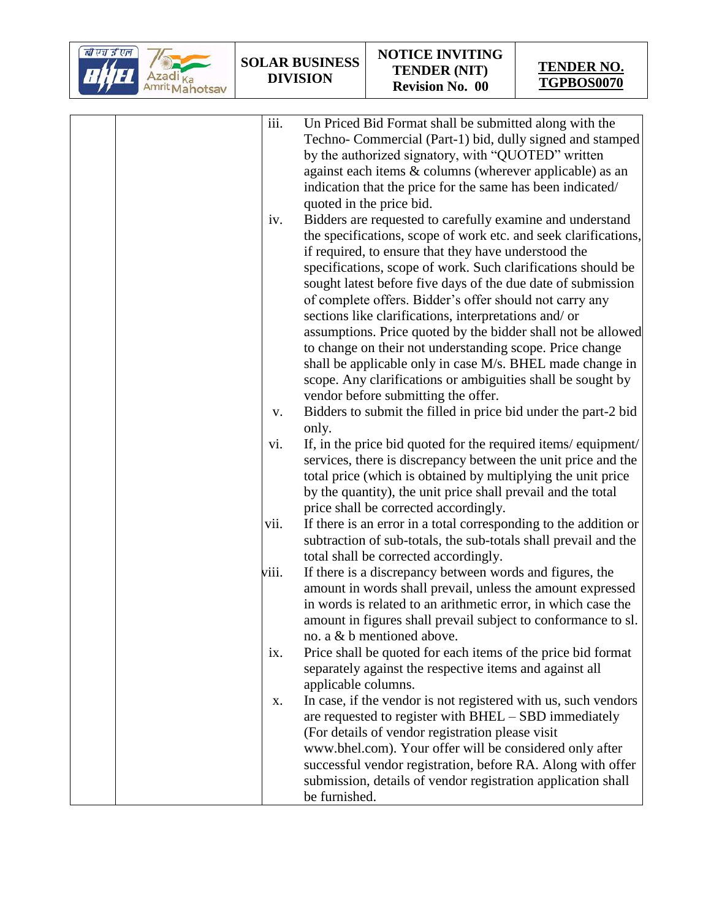

| iii.              | Un Priced Bid Format shall be submitted along with the                                     |
|-------------------|--------------------------------------------------------------------------------------------|
|                   | Techno- Commercial (Part-1) bid, dully signed and stamped                                  |
|                   | by the authorized signatory, with "QUOTED" written                                         |
|                   | against each items & columns (wherever applicable) as an                                   |
|                   | indication that the price for the same has been indicated/                                 |
|                   | quoted in the price bid.                                                                   |
| iv.               | Bidders are requested to carefully examine and understand                                  |
|                   | the specifications, scope of work etc. and seek clarifications,                            |
|                   | if required, to ensure that they have understood the                                       |
|                   | specifications, scope of work. Such clarifications should be                               |
|                   | sought latest before five days of the due date of submission                               |
|                   | of complete offers. Bidder's offer should not carry any                                    |
|                   | sections like clarifications, interpretations and/ or                                      |
|                   | assumptions. Price quoted by the bidder shall not be allowed                               |
|                   | to change on their not understanding scope. Price change                                   |
|                   | shall be applicable only in case M/s. BHEL made change in                                  |
|                   | scope. Any clarifications or ambiguities shall be sought by                                |
|                   | vendor before submitting the offer.                                                        |
| V.                | Bidders to submit the filled in price bid under the part-2 bid                             |
|                   | only.                                                                                      |
| vi.               | If, in the price bid quoted for the required items/equipment/                              |
|                   | services, there is discrepancy between the unit price and the                              |
|                   | total price (which is obtained by multiplying the unit price                               |
|                   | by the quantity), the unit price shall prevail and the total                               |
|                   | price shall be corrected accordingly.                                                      |
| vii.              | If there is an error in a total corresponding to the addition or                           |
|                   | subtraction of sub-totals, the sub-totals shall prevail and the                            |
|                   | total shall be corrected accordingly.                                                      |
| viii.             | If there is a discrepancy between words and figures, the                                   |
|                   | amount in words shall prevail, unless the amount expressed                                 |
|                   | in words is related to an arithmetic error, in which case the                              |
|                   | amount in figures shall prevail subject to conformance to sl.                              |
|                   | no. a & b mentioned above.<br>Price shall be quoted for each items of the price bid format |
| $\overline{1}X$ . | separately against the respective items and against all                                    |
|                   | applicable columns.                                                                        |
| Х.                | In case, if the vendor is not registered with us, such vendors                             |
|                   | are requested to register with BHEL - SBD immediately                                      |
|                   | (For details of vendor registration please visit                                           |
|                   | www.bhel.com). Your offer will be considered only after                                    |
|                   | successful vendor registration, before RA. Along with offer                                |
|                   | submission, details of vendor registration application shall                               |
|                   | be furnished.                                                                              |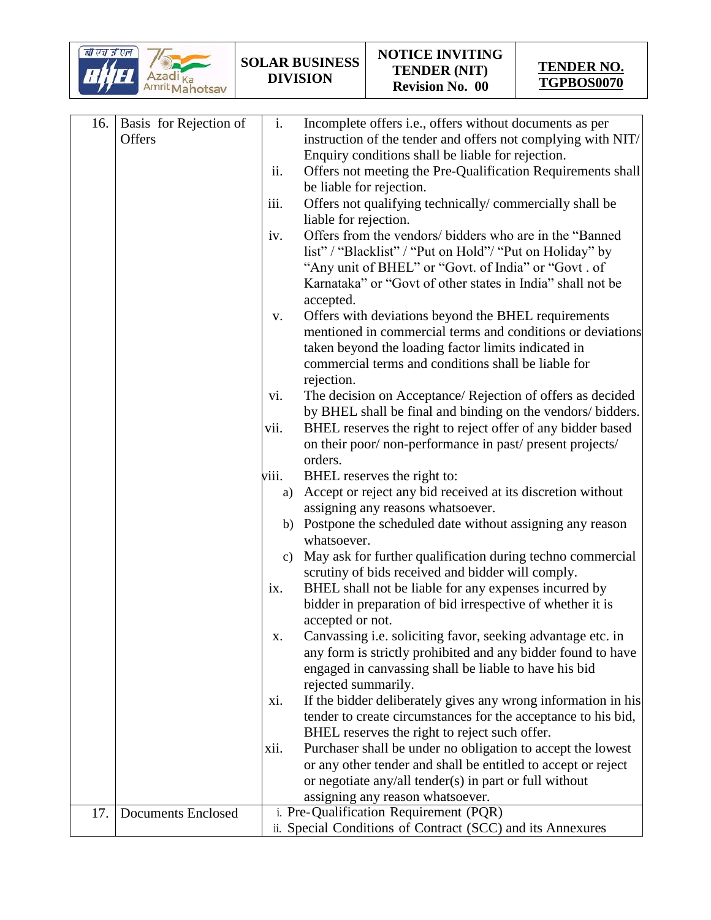

| 16. | <b>Basis</b> for Rejection of | i.            | Incomplete offers i.e., offers without documents as per       |
|-----|-------------------------------|---------------|---------------------------------------------------------------|
|     | Offers                        |               | instruction of the tender and offers not complying with NIT/  |
|     |                               |               | Enquiry conditions shall be liable for rejection.             |
|     |                               | ii.           | Offers not meeting the Pre-Qualification Requirements shall   |
|     |                               |               | be liable for rejection.                                      |
|     |                               | iii.          | Offers not qualifying technically/commercially shall be       |
|     |                               |               | liable for rejection.                                         |
|     |                               | iv.           | Offers from the vendors/ bidders who are in the "Banned"      |
|     |                               |               | list" / "Blacklist" / "Put on Hold"/ "Put on Holiday" by      |
|     |                               |               | "Any unit of BHEL" or "Govt. of India" or "Govt. of           |
|     |                               |               | Karnataka" or "Govt of other states in India" shall not be    |
|     |                               |               |                                                               |
|     |                               |               | accepted.                                                     |
|     |                               | V.            | Offers with deviations beyond the BHEL requirements           |
|     |                               |               | mentioned in commercial terms and conditions or deviations    |
|     |                               |               | taken beyond the loading factor limits indicated in           |
|     |                               |               | commercial terms and conditions shall be liable for           |
|     |                               |               | rejection.                                                    |
|     |                               | vi.           | The decision on Acceptance/ Rejection of offers as decided    |
|     |                               |               | by BHEL shall be final and binding on the vendors/ bidders.   |
|     |                               | vii.          | BHEL reserves the right to reject offer of any bidder based   |
|     |                               |               | on their poor/non-performance in past/present projects/       |
|     |                               |               | orders.                                                       |
|     |                               | viii.         | BHEL reserves the right to:                                   |
|     |                               | a)            | Accept or reject any bid received at its discretion without   |
|     |                               |               | assigning any reasons whatsoever.                             |
|     |                               | b)            | Postpone the scheduled date without assigning any reason      |
|     |                               |               | whatsoever.                                                   |
|     |                               | $\mathbf{c})$ | May ask for further qualification during techno commercial    |
|     |                               |               | scrutiny of bids received and bidder will comply.             |
|     |                               | ix.           | BHEL shall not be liable for any expenses incurred by         |
|     |                               |               | bidder in preparation of bid irrespective of whether it is    |
|     |                               |               | accepted or not.                                              |
|     |                               | Х.            | Canvassing i.e. soliciting favor, seeking advantage etc. in   |
|     |                               |               | any form is strictly prohibited and any bidder found to have  |
|     |                               |               | engaged in canvassing shall be liable to have his bid         |
|     |                               |               | rejected summarily.                                           |
|     |                               | xi.           | If the bidder deliberately gives any wrong information in his |
|     |                               |               | tender to create circumstances for the acceptance to his bid, |
|     |                               |               | BHEL reserves the right to reject such offer.                 |
|     |                               | xii.          | Purchaser shall be under no obligation to accept the lowest   |
|     |                               |               | or any other tender and shall be entitled to accept or reject |
|     |                               |               | or negotiate any/all tender(s) in part or full without        |
|     |                               |               | assigning any reason whatsoever.                              |
| 17. | <b>Documents Enclosed</b>     |               | i. Pre-Qualification Requirement (PQR)                        |
|     |                               |               | ii. Special Conditions of Contract (SCC) and its Annexures    |